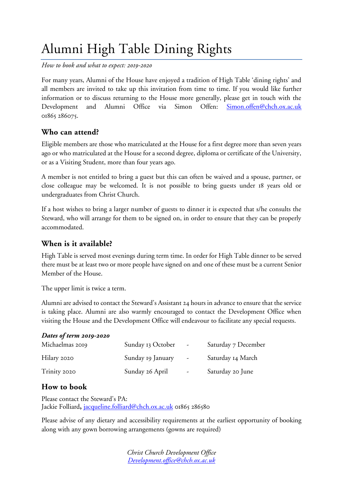# Alumni High Table Dining Rights

*How to book and what to expect: 2019-2020*

For many years, Alumni of the House have enjoyed a tradition of High Table 'dining rights' and all members are invited to take up this invitation from time to time. If you would like further information or to discuss returning to the House more generally, please get in touch with the Development and Alumni Office via Simon Offen: [Simon.offen@chch.ox.ac.uk](mailto:Simon.offen@chch.ox.ac.uk) 01865 286075.

## **Who can attend?**

Eligible members are those who matriculated at the House for a first degree more than seven years ago or who matriculated at the House for a second degree, diploma or certificate of the University, or as a Visiting Student, more than four years ago.

A member is not entitled to bring a guest but this can often be waived and a spouse, partner, or close colleague may be welcomed. It is not possible to bring guests under 18 years old or undergraduates from Christ Church.

If a host wishes to bring a larger number of guests to dinner it is expected that s/he consults the Steward, who will arrange for them to be signed on, in order to ensure that they can be properly accommodated.

## **When is it available?**

High Table is served most evenings during term time. In order for High Table dinner to be served there must be at least two or more people have signed on and one of these must be a current Senior Member of the House.

The upper limit is twice a term.

Alumni are advised to contact the Steward's Assistant 24 hours in advance to ensure that the service is taking place. Alumni are also warmly encouraged to contact the Development Office when visiting the House and the Development Office will endeavour to facilitate any special requests.

#### *Dates of term 2019-2020*

| Michaelmas 2019 | Sunday 13 October | $\sim$           | Saturday 7 December |
|-----------------|-------------------|------------------|---------------------|
| Hilary 2020     | Sunday 19 January | $\sim$           | Saturday 14 March   |
| Trinity 2020    | Sunday 26 April   | $\sim$ 100 $\mu$ | Saturday 20 June    |

# **How to book**

Please contact the Steward's PA: Jackie Folliard**,** [jacqueline.folliard@chch.ox.ac.uk](mailto:jacqueline.folliard@chch.ox.ac.uk) 01865 286580

Please advise of any dietary and accessibility requirements at the earliest opportunity of booking along with any gown borrowing arrangements (gowns are required)

> *Christ Church Development Office [Development.office@chch.ox.ac.uk](mailto:Development.office@chch.ox.ac.uk)*